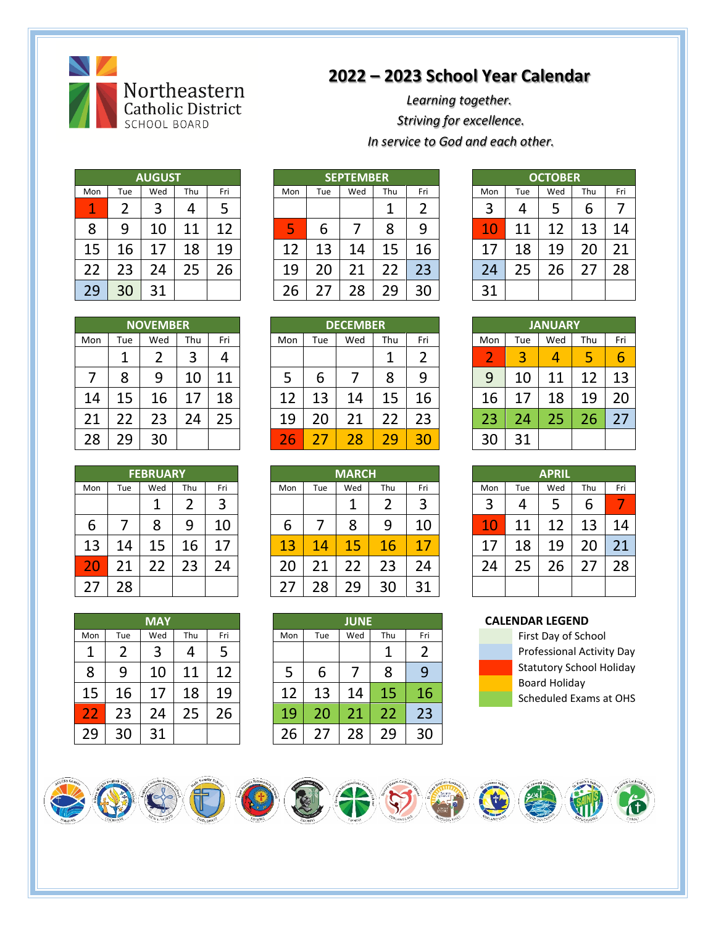

## **2022 – 2023 School Year Calendar**

*Learning together. Striving for excellence. In service to God and each other.*

|     |     | <b>AUGUST</b> |     |     |
|-----|-----|---------------|-----|-----|
| Mon | Tue | Wed           | Thu | Fri |
|     | 2   | 3             | 4   | 5   |
| 8   | 9   | 10            | 11  | 12  |
| 15  | 16  | 17            | 18  | 19  |
| 22  | 23  | 24            | 25  | 26  |
| 29  | 30  | 31            |     |     |

|        |     | <b>AUGUST</b> |          |     | <b>SEPTEMBER</b> |     |     |     |     |        | <b>OCTOBER</b> |        |            |     |
|--------|-----|---------------|----------|-----|------------------|-----|-----|-----|-----|--------|----------------|--------|------------|-----|
| Mon    | Tue | Wed           | Thu      | Fri | Mon              | Tue | Wed | Thu | Fri | Mon    | Tue            | Wed    | <b>Thu</b> | Fri |
| 1<br>- |     | ำ             | 4        |     |                  |     |     |     | ◠   | ∍<br>3 | Δ              |        | n          |     |
| 8      | 9   | LO            | ◢        |     | כ                | b   |     | 8   | 9   | L      | 11             | ኅ      | ີ          | 14  |
| 15     | 6   | 7             | 18       | 9.  | ာ                | .3  | .4  | 5ء  | 16  |        | 18             | O<br>ኅ |            | 21  |
| 22     | ્ર  | 24            | つに<br>23 | 26  | 19               | ∠∪  |     |     | 23  | 74     | 25             | ำ      |            | 28  |
| 29     | 30  | 31            |          |     | 26               |     | 8   | 29  | 30  | າ 1    |                |        |            |     |

| <b>OCTOBER</b> |     |     |     |     |  |  |  |  |  |  |
|----------------|-----|-----|-----|-----|--|--|--|--|--|--|
| Mon            | Tue | Wed | Thu | Fri |  |  |  |  |  |  |
| 3              | 4   | 5   | 6   |     |  |  |  |  |  |  |
| 10             | 11  | 12  | 13  | 14  |  |  |  |  |  |  |
| 17             | 18  | 19  | 20  | 21  |  |  |  |  |  |  |
| 24             | 25  | 26  | 27  | 28  |  |  |  |  |  |  |
| 31             |     |     |     |     |  |  |  |  |  |  |

|     |     | <b>NOVEMBER</b> |     |        | <b>DECEMBER</b> |     |     |         |     |     | <b>JANUARY</b> |         |               |     |
|-----|-----|-----------------|-----|--------|-----------------|-----|-----|---------|-----|-----|----------------|---------|---------------|-----|
| Mon | Tue | Wed             | Thu | Fri    | Mon             | Tue | Wed | Thu     | Fri | Mon | Tue            | Wed     | Thu           | Fri |
|     |     |                 | 3   |        |                 |     |     |         | ◠   | e   | 3              | 4       | ц<br>المستور  |     |
|     | Λ   | 9               | 10  | 1<br>л |                 | b   |     | 8       | 9   | q   | 10             | -1<br>1 | <u>ີ</u><br>1 | 13  |
| 14  |     | 16              |     | 18     | 12              | 13  | 14  | 15      | 16  | 16  | 7              | 18      | 1 Q           | 20  |
| 21  |     | 23              | 24  | 25     | 19              | 20  | 2.  | ำ<br>∠∠ | 23  | 23  | 24             | 25      | 26            |     |
| 28  | 29  | 30              |     |        | 26              |     | 28  | 70      | 30  | 30  | 31             |         |               |     |

|     |     | <b>FEBRUARY</b> |     |     | <b>MARCH</b> |     |     |         | <b>APRIL</b> |     |           |         |     |                          |  |
|-----|-----|-----------------|-----|-----|--------------|-----|-----|---------|--------------|-----|-----------|---------|-----|--------------------------|--|
| Mon | Tue | Wed             | Thu | Fri | Mon          | Tue | Wed | Thu     | Fri          | Mon | Tue       | Wed     | Thu | Fri                      |  |
|     |     |                 |     | 3   |              |     |     |         | 3            | 3   |           | כ       | b   | $\overline{\phantom{a}}$ |  |
| 6   |     | Õ               | 9   | 10  | o            |     | 8   | Q       | 10           | 4   | $\cdot$ 1 | - 2     | 13  | 14                       |  |
| 13  | .4  | 15              | 16  | 7   | 13           | 14  | 15  | 1<br>1Ь | 17           |     | 18        | 19      | 20  |                          |  |
| 20  |     | - 4             | 23  | 24  | 20           | 11  |     | 23      | 24           | า   |           | ำ<br>26 |     | 28                       |  |
| 27  | 28  |                 |     |     |              | 28  | 29  | 30      | 31           |     |           |         |     |                          |  |

|  |  |  | CAI ENINAD I ECENIN |  |  |  |  |
|--|--|--|---------------------|--|--|--|--|



|     |          | <b>NOVEMBER</b> |     |     | <b>DECEMBER</b> |     |         |     |     |             |                                | <b>JANUARY</b> |           |     |
|-----|----------|-----------------|-----|-----|-----------------|-----|---------|-----|-----|-------------|--------------------------------|----------------|-----------|-----|
| Mon | Tue      | Wed             | Thu | Fri | Mon             | Tue | Wed     | Thu | Fri | Mon         | Tue                            | Wed            | Thu       | Fri |
|     |          |                 |     | 4   |                 |     |         |     |     | ∽<br>$\sim$ | $\overline{\phantom{a}}$<br>e. |                | ۰.<br>ر . | b   |
|     | 8        | Q               | 10  | 11  | כ               | ь   |         | 8   | q   | 9           |                                |                | ว         | 10  |
| 14  | 15<br>-- | .b              |     | 18  |                 | 13  | ι4<br>л | 15  | .6  | 16          |                                | .8             | .9<br>л   | 20  |
| 21  | ີ        | 23              | 4   | 25  | 19              | 20  | 21      | າ   | 23  | 23          |                                |                | 26        |     |
| 28  | 29       | 30              |     |     | n<br>$\sim$     |     | 28      | າດ  | २(  | 30          | 31                             |                |           |     |

|     |     | <b>FEBRUARY</b> |     |     | <b>MARCH</b> |     |     |     |     |  | <b>APRIL</b> |     |     |  |
|-----|-----|-----------------|-----|-----|--------------|-----|-----|-----|-----|--|--------------|-----|-----|--|
| Mon | Tue | Wed             | Thu | Fri | Mon          | Tue | Wed | Thu | Fri |  | Mon          | Tue | Wed |  |
|     |     |                 |     | 3   |              |     |     |     | 3   |  | 3            | 4   |     |  |
| 6   |     | 8               | 9   | 10  | 6            |     | 8   | 9   | 10  |  | 4            | 11  |     |  |
| 13  | 14  |                 | 6   | 17  | 13           | 14  | 15  | 16  | 17  |  |              | 18  | 19  |  |
| ΖU  |     |                 |     | 24  | 20           |     | 22  | 23  | 24  |  | 24           | 25  | 26  |  |
|     | :8  |                 |     |     |              | 28  | 29  | 30  | 31  |  |              |     |     |  |

|     |     | MAY |     |     |
|-----|-----|-----|-----|-----|
| Mon | Tue | Wed | Thu | Fri |
| 1   | 2   | 3   | 4   | 5   |
| 8   | 9   | 10  | 11  | 12  |
| 15  | 16  | 17  | 18  | 19  |
| 22  | 23  | 24  | 25  | 26  |
| 29  | 30  | 31  |     |     |

|     |     | <b>MAY</b> |     |     |     |     | <b>JUNE</b> |     |     |
|-----|-----|------------|-----|-----|-----|-----|-------------|-----|-----|
| Mon | Tue | Wed        | Thu | Fri | Mon | Tue | Wed         | Thu | Fri |
| 1   | 2   | 3          |     | 5   |     |     |             | 1   | 2   |
| 8   | 9   | 10         | 11  | 12  | 5   | b   |             | 8   | 9   |
| 15  | 16  | 17         | 18  | 19  | 12  | 13  | 14          | 15  | 16  |
| 22  | 23  | 24         | 25  | 26  | 19  | 20  | 21          | 22  | 23  |
| 29  | 30  | 31         |     |     | 26  | 27  | 28          | 29  | 30  |